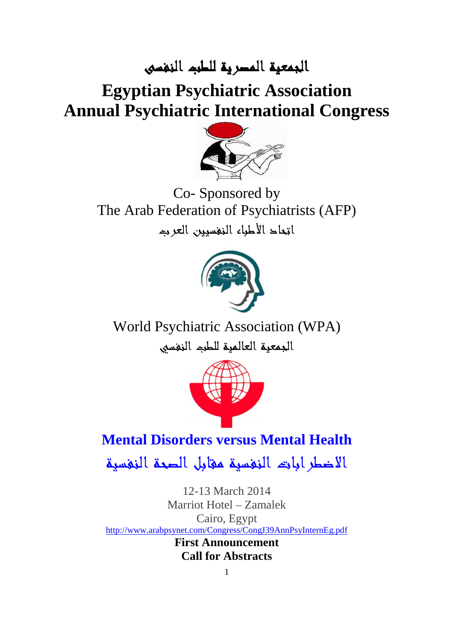## الجمعية المصرية للطب النفسى النفسى

# **Egyptian Psychiatric Association Annual Psychiatric International Congress**



The Arab Federation of Psychiatrists (AFP) اتمحاد الأطباء النفسيين العربه Co- Sponsored by



World Psychiatric Association (WPA) الجمعية العالمية للطب النفسي



## **Mental Disorders versus Mental Health Mental**

الاضطرابات النفسية مقابل الصحة النفسية النفسية

http://www.[arabpsynet.com/Congress/CongJ39AnnPsyInternEg](http://www.arabpsynet.com/Congress/CongJ39AnnPsyInternEg.pdf).pdf 12-13 March 2014 Marriot Hotel – Zamalek Cairo, Egypt **First Announcement Call for Abstracts**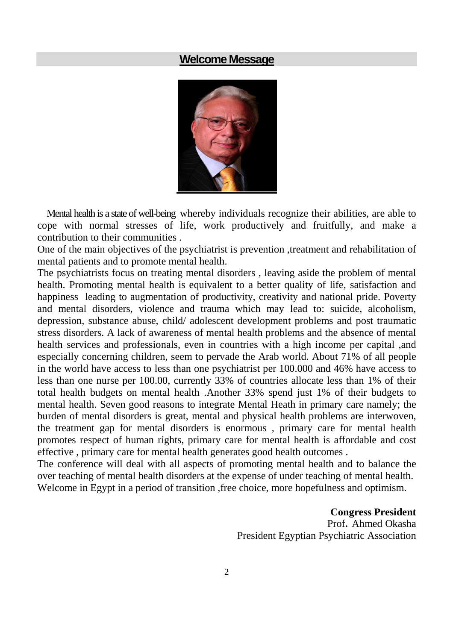## **Welcome Message**



 Mental health is a state of well-being whereby individuals recognize their abilities, are able to cope with normal stresses of life, work productively and fruitfully, and make a contribution to their communities .

One of the main objectives of the psychiatrist is prevention ,treatment and rehabilitation of mental patients and to promote mental health.

The psychiatrists focus on treating mental disorders , leaving aside the problem of mental health. Promoting mental health is equivalent to a better quality of life, satisfaction and happiness leading to augmentation of productivity, creativity and national pride. Poverty and mental disorders, violence and trauma which may lead to: suicide, alcoholism, depression, substance abuse, child/ adolescent development problems and post traumatic stress disorders. A lack of awareness of mental health problems and the absence of mental health services and professionals, even in countries with a high income per capital ,and especially concerning children, seem to pervade the Arab world. About 71% of all people in the world have access to less than one psychiatrist per 100.000 and 46% have access to less than one nurse per 100.00, currently 33% of countries allocate less than 1% of their total health budgets on mental health .Another 33% spend just 1% of their budgets to mental health. Seven good reasons to integrate Mental Heath in primary care namely; the burden of mental disorders is great, mental and physical health problems are interwoven, the treatment gap for mental disorders is enormous , primary care for mental health promotes respect of human rights, primary care for mental health is affordable and cost effective , primary care for mental health generates good health outcomes .

The conference will deal with all aspects of promoting mental health and to balance the over teaching of mental health disorders at the expense of under teaching of mental health. Welcome in Egypt in a period of transition ,free choice, more hopefulness and optimism.

**Congress President** 

Prof**.** Ahmed Okasha President Egyptian Psychiatric Association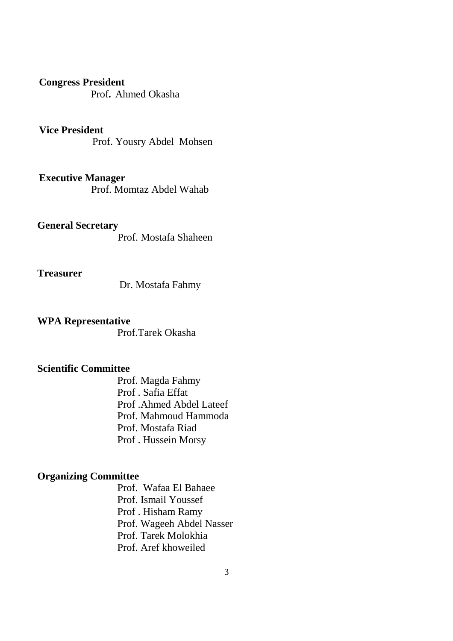#### **Congress President**

Prof**.** Ahmed Okasha

#### **Vice President**

Prof. Yousry Abdel Mohsen

#### **Executive Manager**

Prof. Momtaz Abdel Wahab

#### **General Secretary**

Prof. Mostafa Shaheen

#### **Treasurer**

Dr. Mostafa Fahmy

### **WPA Representative**

Prof.Tarek Okasha

### **Scientific Committee**

Prof. Magda Fahmy Prof . Safia Effat Prof .Ahmed Abdel Lateef Prof. Mahmoud Hammoda Prof. Mostafa Riad Prof . Hussein Morsy

## **Organizing Committee**

Prof. Wafaa El Bahaee Prof. Ismail Youssef Prof . Hisham Ramy Prof. Wageeh Abdel Nasser Prof. Tarek Molokhia Prof. Aref khoweiled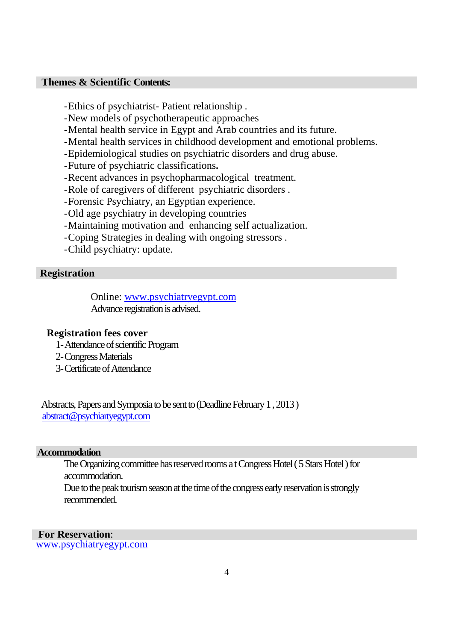#### **Themes & Scientific Contents:**

-Ethics of psychiatrist- Patient relationship .

- -New models of psychotherapeutic approaches
- -Mental health service in Egypt and Arab countries and its future.
- -Mental health services in childhood development and emotional problems.
- -Epidemiological studies on psychiatric disorders and drug abuse.
- -Future of psychiatric classifications**.**
- -Recent advances in psychopharmacological treatment.
- -Role of caregivers of different psychiatric disorders .
- -Forensic Psychiatry, an Egyptian experience.
- -Old age psychiatry in developing countries
- -Maintaining motivation and enhancing self actualization.
- -Coping Strategies in dealing with ongoing stressors .
- -Child psychiatry: update.

#### **Registration**

Online: www.psychiatryegypt.com Advance registration is advised.

#### **Registration fees cover**

- 1-Attendance of scientific Program
- 2-Congress Materials
- 3-Certificate of Attendance

 Abstracts, Papers and Symposia to be sent to (Deadline February 1 , 2013 ) abstract@psychiartyegypt.com

#### **Accommodation**

The Organizing committee has reserved rooms a t Congress Hotel ( 5 Stars Hotel ) for accommodation.

Due to the peak tourism season at the time of the congress early reservation is strongly recommended.

#### **For Reservation**:

www.psychiatryegypt.com